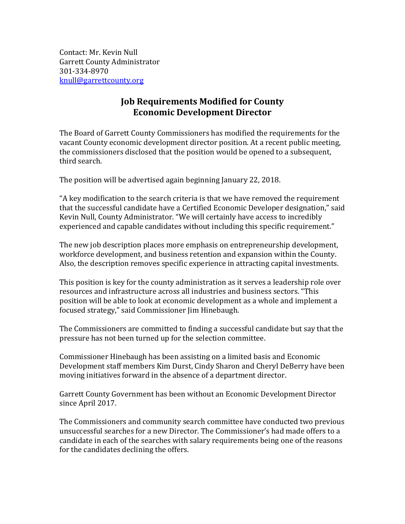Contact: Mr. Kevin Null Garrett County Administrator 301-334-8970 [knull@garrettcounty.org](mailto:knull@garrettcounty.org)

## **Job Requirements Modified for County Economic Development Director**

The Board of Garrett County Commissioners has modified the requirements for the vacant County economic development director position. At a recent public meeting, the commissioners disclosed that the position would be opened to a subsequent, third search.

The position will be advertised again beginning January 22, 2018.

"A key modification to the search criteria is that we have removed the requirement that the successful candidate have a Certified Economic Developer designation," said Kevin Null, County Administrator. "We will certainly have access to incredibly experienced and capable candidates without including this specific requirement."

The new job description places more emphasis on entrepreneurship development, workforce development, and business retention and expansion within the County. Also, the description removes specific experience in attracting capital investments.

This position is key for the county administration as it serves a leadership role over resources and infrastructure across all industries and business sectors. "This position will be able to look at economic development as a whole and implement a focused strategy," said Commissioner Jim Hinebaugh.

The Commissioners are committed to finding a successful candidate but say that the pressure has not been turned up for the selection committee.

Commissioner Hinebaugh has been assisting on a limited basis and Economic Development staff members Kim Durst, Cindy Sharon and Cheryl DeBerry have been moving initiatives forward in the absence of a department director.

Garrett County Government has been without an Economic Development Director since April 2017.

The Commissioners and community search committee have conducted two previous unsuccessful searches for a new Director. The Commissioner's had made offers to a candidate in each of the searches with salary requirements being one of the reasons for the candidates declining the offers.